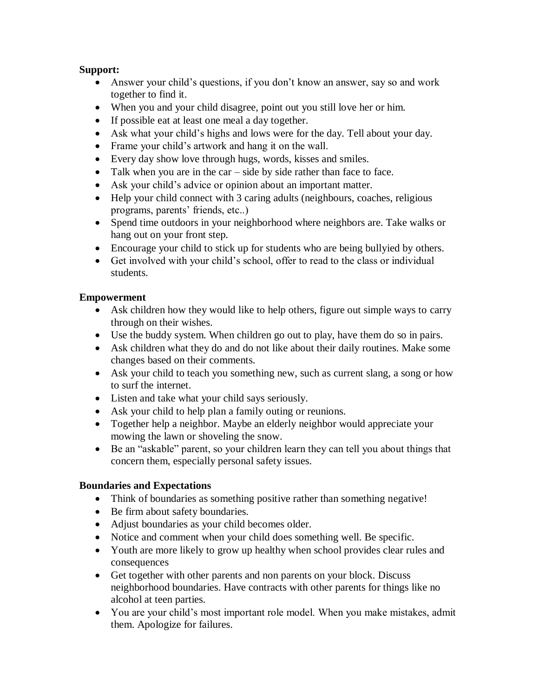## **Support:**

- Answer your child's questions, if you don't know an answer, say so and work together to find it.
- When you and your child disagree, point out you still love her or him.
- If possible eat at least one meal a day together.
- Ask what your child's highs and lows were for the day. Tell about your day.
- Frame your child's artwork and hang it on the wall.
- Every day show love through hugs, words, kisses and smiles.
- Talk when you are in the car side by side rather than face to face.
- Ask your child's advice or opinion about an important matter.
- Help your child connect with 3 caring adults (neighbours, coaches, religious programs, parents' friends, etc..)
- Spend time outdoors in your neighborhood where neighbors are. Take walks or hang out on your front step.
- Encourage your child to stick up for students who are being bullyied by others.
- Get involved with your child's school, offer to read to the class or individual students.

## **Empowerment**

- Ask children how they would like to help others, figure out simple ways to carry through on their wishes.
- Use the buddy system. When children go out to play, have them do so in pairs.
- Ask children what they do and do not like about their daily routines. Make some changes based on their comments.
- Ask your child to teach you something new, such as current slang, a song or how to surf the internet.
- Listen and take what your child says seriously.
- Ask your child to help plan a family outing or reunions.
- Together help a neighbor. Maybe an elderly neighbor would appreciate your mowing the lawn or shoveling the snow.
- Be an "askable" parent, so your children learn they can tell you about things that concern them, especially personal safety issues.

## **Boundaries and Expectations**

- Think of boundaries as something positive rather than something negative!
- Be firm about safety boundaries.
- Adjust boundaries as your child becomes older.
- Notice and comment when your child does something well. Be specific.
- Youth are more likely to grow up healthy when school provides clear rules and consequences
- Get together with other parents and non parents on your block. Discuss neighborhood boundaries. Have contracts with other parents for things like no alcohol at teen parties.
- You are your child's most important role model. When you make mistakes, admit them. Apologize for failures.